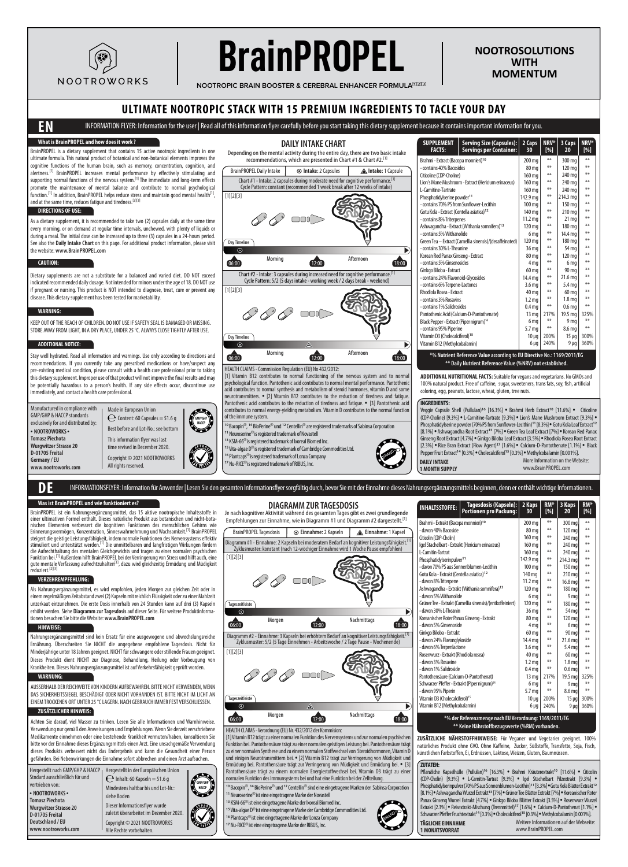

# **BrainPROPEL**

**NOOTROSOLUTIONS WITH MOMENTUM**

**NOOTROPIC BRAIN BOOSTER & CEREBRAL ENHANCER FORMULA[1][2][3]**

# **ULTIMATE NOOTROPIC STACK WITH 15 PREMIUM INGREDIENTS TO TACLE YOUR DAY**

**DAILY INTAKE CHART**

# **EN** INFORMATION FLYER: Information for the user | Read all of this information flyer carefully before you start taking this dietary supplement because it contains important information for you.

## **What is BrainPROPEL and how does it work ?**

BrainPROPEL is a dietary supplement that contains 15 active nootropic ingredients in one ultimate formula. This natural product of botanical and non-botanical elements improves the cognitive functions of the human brain, such as memory, concentration, cognition, and alertness.<sup>[1]</sup> BrainPROPEL increases mental performance by effectively stimulating and supporting normal functions of the nervous system.[1] The immediate and long-term effects promote the maintenance of mental balance and contribute to normal psychological function.<sup>[1]</sup> In addition, BrainPROPEL helps reduce stress and maintain good mental health<sup>[1]</sup>, and at the same time, reduces fatigue and tiredness.<sup>[2][3]</sup>

#### **DIRECTIONS OF USE:**

As a dietary supplement, it is recommended to take two (2) capsules daily at the same time every morning, or on demand at regular time intervals, unchewed, with plenty of liquids or during a meal. The initial dose can be increased up to three (3) capsules in a 24-hours period. See also the **Daily Intake Chart** on this page. For additional product information, please visit the website: **www.BrainPROPEL.com**

#### **CAUTION:**

Dietary supplements are not a substitute for a balanced and varied diet. DO NOT exceed indicated recommended daily dosage. Not intended for minors under the age of 18. DO NOT use if pregnant or nursing. This product is NOT intended to diagnose, treat, cure or prevent any disease. This dietary supplement has been tested for marketability.

#### **WARNING:**

KEEP OUT OF THE REACH OF CHILDREN. DO NOT USE IF SAFETY SEAL IS DAMAGED OR MISSING. STORE AWAY FROM LIGHT, IN A DRY PLACE, UNDER 25 °C. ALWAYS CLOSE TIGHTLY AFTER USE.

#### **ADDITIONAL NOTICE:**

Stay well hydrated. Read all information and warnings. Use only according to directions and recommendations. If you currently take any prescribed medications or have/suspect any pre-existing medical condition, please consult with a health care professional prior to taking this dietary supplement. Improper use of that product will not improve the final results and may be potentially hazardous to a person's health. If any side effects occur, discontinue use .<br>mediately, and contact a health care professional.

Manufactured in compliance with GMP/GHP & HACCP standards exclusively for and distributed by: • **NOOTROWORKS** • **Tomasz Piechota Wurgwitzer Strasse 20 D-01705 Freital Germany / EU www.nootroworks.com**





 $\sqrt{\frac{2}{\pi}}$ 

# Depending on the mental activity during the entire day, there are two basic intake recommendations, which are presented in Chart #1 & Chart #2.<sup>[1]</sup> BrainPROPEL Daily Intake **Intake:** 2 Capsules **Intake:** 1 Capsule Chart #1 - Intake: 2 capsules during moderate need for cognitive performance.[1] Cycle Pattern: constant (recommended 1 week break after 12 weeks of intake) [1][2][3]  $\bigotimes$ Day Timeline Morning 12:00 Afternoon 06:00 18:00 12:00 12:00 12:00 18:00 Chart #2 - Intake: 3 capsules during increased need for cognitive performance.[1] Cycle Pattern: 5/2 (5 days intake - working week / 2 days break - weekend) [1][2][3]  $\mathscr{D} \mathscr{D} \mathscr{D}$  and



[1] Vitamin B12 contributes to normal functioning of the nervous system and to norm psychological function. Pantothenic acid contributes to normal mental performance. Pantothenic<br>acid contributes to normal synthesis and metabolism of steroid hormones, vitamin D and some<br>neurotransmitters. • [2] Vitamin B1 Pantothenic acid contributes to the reduction of tiredness and fatigue. • [3] Pantothenic acid ntributes to normal energy-yielding metabolism. Vitamin D contributes to the normal function of the immune system.

.<br>10 Neuro<sup>®</sup> is registered trademark of Novastell KSM-66®is registered trademark of Ixoreal Biomed Inc. Vita-algae D®is registered trademark of Cambridge Commodities Ltd. Plantcaps®is registered trademark of Lonza Company Nu-RICE®is registered trademark of RIBUS, Inc. **BRAND** 

Je nach kognitiver Aktivität während des gesamten Tages gibt es zwei grundlegende

**DIAGRAMM ZUR TAGESDOSIS**



▶

| SUPPLEMENT<br>Serving Size (Capsules):<br><b>FACTS:</b><br><b>Servings per Container:</b> | 2 Caps<br>30       | NRV*<br>[%] | 3 Caps<br>20      | <b>NRV*</b><br>$N_{\odot}$ |  |  |  |  |  |
|-------------------------------------------------------------------------------------------|--------------------|-------------|-------------------|----------------------------|--|--|--|--|--|
| Brahmi - Extract (Bacopa monnieri) <sup>10</sup>                                          | 200 mg             | **          | 300 mg            | **                         |  |  |  |  |  |
| - contains 40% Bacosides                                                                  | 80 mg              | **          | 120 mg            | **                         |  |  |  |  |  |
| Citicoline (CDP-Choline)                                                                  | 160 mg             | **          | 240 mg            | **                         |  |  |  |  |  |
| Lion's Mane Mushroom - Extract (Hericium erinaceus)                                       | 160 mg             | **          | 240 mg            | **                         |  |  |  |  |  |
| I-Carnitine-Tartrate                                                                      | 160 mg             | **          | 240 mg            | **                         |  |  |  |  |  |
| Phosphatidylserine powder <sup>11</sup>                                                   | 142.9 mg           | **          | 214.3 mg          | **                         |  |  |  |  |  |
| - contains 70% PS from Sunflower-Lecithin                                                 | 100 mg             | **          | 150 mg            | **                         |  |  |  |  |  |
| Gotu Kola - Extract (Centella asiatica) <sup>12</sup>                                     | 140 mg             | **          | 210 mg            | **                         |  |  |  |  |  |
| - contains 8% Triterpenes                                                                 | 11.2 <sub>mg</sub> | **          | 21 <sub>mg</sub>  | **                         |  |  |  |  |  |
| Ashwagandha - Extract (Withania somnifera) <sup>13</sup>                                  | 120 mg             | **          | 180 mg            | **                         |  |  |  |  |  |
| - contains 5% Withanolide                                                                 | 6 mg               | **          | 14.4 mg           | **                         |  |  |  |  |  |
| Green Tea - Extract (Camellia sinensis)/(decaffeinated)                                   | 120 mg             | **          | 180 mg            | **                         |  |  |  |  |  |
| - contains 30% L-Theanine                                                                 | 36 mg              | **          | 54 mg             | **                         |  |  |  |  |  |
| Korean Red Panax Ginseng - Extract                                                        | 80 mg              | **          | 120 mg            | **                         |  |  |  |  |  |
| - contains 5% Ginsenosides                                                                | 4 <sub>mq</sub>    | **          | 6 mg              | **                         |  |  |  |  |  |
| Ginkgo Biloba - Extract                                                                   | 60 mg              | **          | 90 mg             | **                         |  |  |  |  |  |
| - contains 24% Flavonoid-Glycosides                                                       | 14.4 ma            | **          | 21.6 ma           | **                         |  |  |  |  |  |
| - contains 6% Terpene-Lactones                                                            | 3.6 <sub>ma</sub>  | **          | 5.4 <sub>mg</sub> | **                         |  |  |  |  |  |
| Rhodiola Rosea - Extract                                                                  | 40 mg              | **          | 60 mg             | **                         |  |  |  |  |  |
| - contains 3% Rosavins                                                                    | 1.2 <sub>mg</sub>  | **          | 1.8 <sub>m</sub>  | **                         |  |  |  |  |  |
| - contains 1% Salidrosides                                                                | 0.4 <sub>mq</sub>  | **          | 0.6 <sub>mq</sub> | **                         |  |  |  |  |  |
| Pantothenic Acid (Calcium-D-Pantothenate)                                                 | 13 <sub>mg</sub>   | 217%        | 19.5 ma           | 325%                       |  |  |  |  |  |
| Black Pepper - Extract (Piper nigrum) <sup>14</sup>                                       | 6 mg               | **          | 9 <sub>ma</sub>   | **                         |  |  |  |  |  |
| - contains 95% Piperine                                                                   | 5.7 mg             | **          | 8.6 ma            | **                         |  |  |  |  |  |
| Vitamin D3 (Cholecalciferol) <sup>15</sup>                                                | $10 \mu g$         | 200%        | $15 \mu q$        | 300%                       |  |  |  |  |  |
| Vitamin B12 (Methylcobalamin)                                                             | $6 \mu g$          | 240%        | $9 \mu g$         | 360%                       |  |  |  |  |  |
| *% Nutrient Reference Value according to EU Directive No.: 1169/2011/EG                   |                    |             |                   |                            |  |  |  |  |  |
| ** Daily Nutrient Reference Value (%NRV) not established.                                 |                    |             |                   |                            |  |  |  |  |  |

**ADDITIONAL NUTRITIONAL FACTS:** Suitable for vegans and vegetarians. No GMOs and 100% natural product. Free of caffeine, sugar, sweeteners, trans fats, soy, fish, artificial coloring, egg, peanuts, lactose, wheat, gluten, tree nuts.

#### **INGREDIENTS:**

**DAILY INTAKE 1 MONTH SUPPLY**

Veggie Capsule Shell (Pullulan)**<sup>16</sup>** [16.3%] • Brahmi Herb Extract**<sup>10</sup>** [11.6%] • Citicoline (CDP-Choline) [9.3%] • L-Carnitine-Tartrate [9.3%] • Lion's Mane Mushroom Extract [9.3%] •<br>Phosphatidylserine powder (70% PS from Sunflower-Lecithin)'1 [8.3%] • Gotu Kola Leaf Extract'<sup>12</sup><br>[8.1%] • Ashwagandha Root Extrac Ginseng Root Extract [4.7%] • Ginkgo Biloba Leaf Extract [3.5%] • Rhodiola Rosea Root Extract [2.3%] • Rice Bran Extract (Flow Agent)**<sup>17</sup>** [1.6%] • Calcium-D-Pantothenate [1.1%] • Black Pepper Fruit Extract**<sup>14</sup>** [0.3%] • Cholecalciferol**<sup>15</sup>** [0.3%] • Methylcobalamin [0.001%].

#### More Information on the Website: www.BrainPROPEL.com

| DE D | INFORMATIONSFLYER: Information für Anwender   Lesen Sie den gesamten Informationsflyer sorgfältig durch, bevor Sie mit der Einnahme dieses Nahrungsergänzungsmittels beginnen, denn er enthält wichtige Informationen. |
|------|------------------------------------------------------------------------------------------------------------------------------------------------------------------------------------------------------------------------|
|      |                                                                                                                                                                                                                        |

# **Was ist BrainPROPEL und wie funktioniert es?**

BrainPROPEL ist ein Nahrungsergänzungsmittel, das 15 aktive nootropische Inhaltsstoffe in einer ultimativen Formel enthält. Dieses natürliche Produkt aus botanischen und nicht-botanischen Elementen verbessert die kognitiven Funktionen des menschlichen Gehirns wie<br>Erinnerungsvermögen, Konzentration, Sinneswahrnehmung und Wachsamkeit.<sup>111</sup> BrainPROPEL<br>steigert die geistige Leistungsfähigk<u>e</u>it, indem stimuliert und unterstützt werden.<sup>[1]</sup> Die unmittelbaren und langfristigen Wirkungen fördern<br>die Aufrechthaltung des mentalen Gleichgewichts und tragen zu einer normalen psychischen<br>Funktion bei.<sup>11</sup> Außerdem hilft BrainP

### **VERZEHREMPFEHLUNG:**

Als Nahrungsergänzungsmittel, es wird empfohlen, jeden Morgen zur gleichen Zeit oder in einem regelmäßigen Zeitabstand zwei (2) Kapseln mit reichlich Flüssigkeit oder zu einer Mahlzeit unzerkaut einzunehmen. Die erste Dosis innerhalb von 24 Stunden kann auf drei (3) Kapseln erhöht werden. Siehe **Diagramm zur Tagesdosis** auf dieser Seite. Für weitere Produktinformationen besuchen Sie bitte die Website: **www.BrainPROPEL.com**

### **HINWEISE:**

Nahrungsergänzungsmittel sind kein Ersatz für eine ausgewogene und abwechslungsreiche Ernährung. Überschreiten Sie NICHT die angegebene empfohlene Tagesdosis. Nicht für Minderjährige unter 18 Jahren geeignet. NICHT für schwangere oder stillende Frauen geeignet. Dieses Produkt dient NICHT zur Diagnose, Behandlung, Heilung oder Vorbeugung von Krankheiten. Dieses Nahrungsergänzungsmittel ist auf Verkehrsfähigkeit geprüft worden.

#### **WARNUNG:**

AUSSERHALB DER REICHWEITE VON KINDERN AUFBEWAHREN. BITTE NICHT VERWENDEN, WENN DAS SICHERHEITSSIEGEL BESCHÄDIGT ODER NICHT VORHANDEN IST. BITTE NICHT IM LICHT AN EINEM TROCKENEN ORT UNTER 25 °C LAGERN. NACH GEBRAUCH IMMER FEST VERSCHLIESSEN.

#### **ZUSÄTZLICHER HINWEIS:**

**www.nootroworks.com**

Achten Sie darauf, viel Wasser zu trinken. Lesen Sie alle Informationen und Warnhinweise. Verwendung nur gemäß den Anweisungen und Empfehlungen. Wenn Sie derzeit verschriebene Medikamente einnehmen oder eine bestehende Krankheit vermuten/haben, konsultieren Sie bitte vor der Einnahme dieses Ergänzungsmittels einen Arzt. Eine unsachgemäße Verwendung dieses Produkts verbessert nicht das Endergebnis und kann die Gesundheit einer Person gefährden. Bei Nebenwirkungen die Einnahme sofort abbrechen und einen Arzt aufsuchen.

Hergestellt nach GMP/GHP & HACCP Hergestellt in der Europäischen Union Stndard ausschließlich für und vertrieben von: • **NOOTROWORKS** • **Tomasz Piechota Wurgwitzer Strasse 20 D-01705 Freital Deutschland / EU**  $\bigcap$  Inhalt: 60 Kanseln = 51.6 g Mindestens haltbar bis und Lot-Nr.: siehe Boden



Copyright © 2021 NOOTROWORKS Alle Rechte vorbehalten. Dieser Informationsflyer wurde zuletzt überarbeitet im Dezember 2020. Empfehlungen zur Einnahme, wie in Diagramm #1 und Diagramm #2 dargestellt.<sup>[1]</sup> BrainPROPEL Tagesdosis **CEinnahme:** 2 Kapseln **ALE innahme:** 1 Kapsel Diagramm #1 - Einnahme: 2 Kapseln bei moderatem Bedarf an kognitiver Leistungsfähigkeit. <sup>[</sup> zyklusmuster: konstant (nach 12-wöchiger Einnahme zur Zyklusmuster: konstant (nach 12-wöchiger Einnahm [1][2][3]  $\mathscr{D} \mathscr{D}$  on Tageszeitleiste Б Morgen 12:00 Nachmittags 06:00 12:00 12:00 12:00 12:00 13:00 Diagramm #2 - Einnahme: 3 Kapseln bei erhöhtem Bedarf an kognitiver Leistungsfähigkeit.[1] Zyklusmuster: 5/2 (5 Tage Einnehmen - Arbeitswoche / 2 Tage Pause - Wochenende) [1][2][3]



HEALTH CLAIMS - Verordnung (EU) Nr. 432/2012 der Kom

[1] Vitamin B12 trägt zu einer normalen Funktion des Nervensystems und zur normalen psychischer Funktion bei. Pantothensäure trägt zu einer normalen geistigen Leistung bei. Pantothensäure trägt zu einer normalen Synthese und zu einem normalen Stoffwechsel von Steroidhormonen, Vitamin D und einigen Neurotransmittern bei. • [2] Vitamin B12 trägt zur Verringerung von Müdigkeit und Ermüdung bei. Pantothensäure trägt zur Verringerung von Müdigkeit und Ermüdung bei. • [3]<br>Pantothensäure trägt zu einem normalen Energiestoffwechsel bei. Vitamin D3 trägt zu einer<br>normalen Funktion des Immunsystems bei und

**<sup>10</sup>**Bacopin®, **<sup>14</sup>** BioPerine® und **<sup>12</sup>** Centellin® sind eine eingetragene Marken der Sabinsa Corporation **<sup>11</sup>** Neuroserine®ist eine eingetragene Marke der Novastell

 KSM-66®ist eine eingetragene Marke der Ixoreal Biomed Inc. Vita-algae D®ist eine eingetragene Marke der Cambridge Commodities Ltd. Plantcaps®ist eine eingetragene Marke der Lonza Company Nu-RICE®ist eine eingetragene Marke der RIBUS, Inc.

| <b>INHALTSSTOFFE:</b>                                     | Tagesdosis (Kapseln):<br><b>Portionen pro Packung:</b> | 2 Kaps<br>30       | RM <sup>*</sup><br>[%] | 3 Kaps<br>20       | RM <sup>*</sup><br>[%] |
|-----------------------------------------------------------|--------------------------------------------------------|--------------------|------------------------|--------------------|------------------------|
| Brahmi - Extrakt (Bacopa monnieri) <sup>10</sup>          |                                                        | 200 mg             | **                     | 300 ma             | **                     |
| - davon 40% Bacoside                                      |                                                        | 80 mg              | $+46.46$               | 120 mg             | **                     |
| Citicolin (CDP-Cholin)                                    |                                                        | 160 mg             | **                     | 240 mg             | **                     |
| Igel Stachelbart - Extrakt (Hericium erinaceus)           |                                                        | 160 ma             | $+46.46$               | 240 mg             | **                     |
| L-Camitin-Tartrat                                         |                                                        | 160 mg             | **                     | 240 ma             | **                     |
| Phosphatidylserinpulver <sup>11</sup>                     |                                                        | 142.9 mg           | **                     | 214.3 ma           | **                     |
| - davon 70% PS aus Sonnenblumen-Lecithin                  |                                                        | 100 mg             | $+46.46$               | 150 mg             | **                     |
| Gotu Kola - Extrakt (Centella asiatica) <sup>12</sup>     |                                                        | 140 ma             | **                     | 210 mg             | **                     |
| - davon 8% Triterpene                                     |                                                        | 11.2 <sub>mg</sub> | $+46.46$               | 16.8 ma            | **                     |
| Ashwagandha - Extrakt (Withania somnifera) <sup>13</sup>  |                                                        | 120 ma             | $+46.46$               | 180 mg             | **                     |
| - davon 5% Withanolide                                    |                                                        | 6 ma               | **                     | 9 mg               | **                     |
| Grüner Tee - Extrakt (Camellia sinensis)/(entkoffeiniert) |                                                        | 120 mg             | **                     | 180 mg             | $+1$                   |
| - davon 30% L-Theanin                                     |                                                        | 36 mg              | $+46.46$               | 54 mg              | **                     |
| Koreanischer Roter Panax Ginseng - Extrakt                |                                                        | 80 mg              | **                     | 120 mg             | **                     |
| - davon 5% Ginsenoside                                    |                                                        | 4 mg               | **                     | 6 mg               | **                     |
| Ginkgo Biloba - Extrakt                                   |                                                        | 60 mg              | $+46.46$               | 90 mg              | **                     |
| - davon 24% Flavonglykoside                               |                                                        | 14.4 ma            | **                     | 21.6 <sub>ma</sub> | **                     |
| - davon 6% Terpenlactone                                  |                                                        | 3.6 <sub>mq</sub>  | **                     | 5.4 mg             | **                     |
| Rosenwurz - Extrakt (Rhodiola rosea)                      |                                                        | 40 mg              | **                     | 60 mg              | **                     |
| - davon 3% Rosavine                                       |                                                        | 1.2 <sub>ma</sub>  | $+46.46$               | 1.8 <sub>mq</sub>  | **                     |
| - davon 1% Salidroside                                    |                                                        | 0.4 <sub>ma</sub>  | **                     | $0.6$ mq           | **                     |
| Pantothensäure (Calcium-D-Pantothenat)                    |                                                        | 13 <sub>mq</sub>   | 217%                   | 19.5 mg            | 325%                   |
| Schwarzer Pfeffer - Extrakt (Piper nigrum) <sup>14</sup>  |                                                        | 6 ma               | **                     | 9 mg               | **                     |
| - davon 95% Piperin                                       |                                                        | 5.7 <sub>mg</sub>  | **                     | 8.6 ma             | **                     |
| Vitamin D3 (Cholecalciferol) <sup>15</sup>                |                                                        | $10 \mu g$         | 200%                   | $15 \mu q$         | 300%                   |
| Vitamin B12 (Methylcobalamin)                             |                                                        | $6 \mu g$          | 240%                   | $9 \mu g$          | 360%                   |

#### **\*% der Referenzmenge nach EU Verordnung: 1169/2011/EG \*\* Keine Nährstoffbezugswerte (%RM) vorhanden.**

**ZUSÄTZLICHE NÄHRSTOFFHINWEISE:** Für Veganer und Vegetarier geeignet. 100% natürliches Produkt ohne GVO. Ohne Kaffeine, Zucker, Süßstoffe, Transfette, Soja, Fisch, künstlichen Farbstoffen, Ei, Erdnüssen, Laktose, Weizen, Gluten, Baumnüssen.

#### **ZUTATEN:**

▼

Pflanzliche Kapselhülle (Pullulan)<sup>16</sup> [16.3%] • Brahmi Kräuterextrakt<sup>10</sup> [11.6%] • Citicolin<br>(CDP-Cholin) [9.3%] • L-Carnitin-Tartrat [9.3%] • Igel Stachelbart Pilzextrakt [9.3%] •<br>Phosphatidylserinpulver(70%PSausSonnenb [8.1%] • Ashwagandha Wurzel Extrakt**<sup>13</sup>** [7%] • Grüner Tee Blätter Extrakt [7%] • Koreanischer Roter Panax Ginseng Wurzel Extrakt [4.7%] • Ginkgo Biloba Blätter Extrakt [3.5%] • Rosenwurz Wurzel<br>Extrakt [2.3%] • Reisextrakt-Mischung (Trennmittel)1<sup>7</sup> [1.6%] • Calcium-D-Pantothenat [1.1%] •<br>Schwarzer Pfeffer Fruchtextrakt<sup></sup> **TÄGLICHE EINNAHME 1 MONATSVORRAT** Weitere Informationen auf der Webseite: www.BrainPROPEL.com